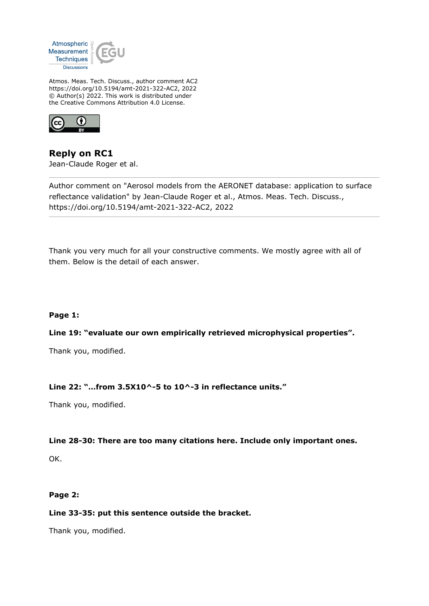

Atmos. Meas. Tech. Discuss., author comment AC2 https://doi.org/10.5194/amt-2021-322-AC2, 2022 © Author(s) 2022. This work is distributed under the Creative Commons Attribution 4.0 License.



**Reply on RC1** Jean-Claude Roger et al.

Author comment on "Aerosol models from the AERONET database: application to surface reflectance validation" by Jean-Claude Roger et al., Atmos. Meas. Tech. Discuss., https://doi.org/10.5194/amt-2021-322-AC2, 2022

Thank you very much for all your constructive comments. We mostly agree with all of them. Below is the detail of each answer.

# **Page 1:**

# **Line 19: "evaluate our own empirically retrieved microphysical properties".**

Thank you, modified.

# **Line 22: "…from 3.5X10^-5 to 10^-3 in reflectance units."**

Thank you, modified.

#### **Line 28-30: There are too many citations here. Include only important ones.**

OK.

#### **Page 2:**

#### **Line 33-35: put this sentence outside the bracket.**

Thank you, modified.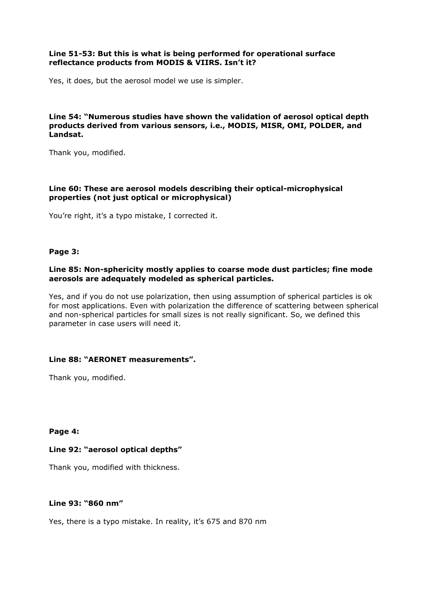## **Line 51-53: But this is what is being performed for operational surface reflectance products from MODIS & VIIRS. Isn't it?**

Yes, it does, but the aerosol model we use is simpler.

## **Line 54: "Numerous studies have shown the validation of aerosol optical depth products derived from various sensors, i.e., MODIS, MISR, OMI, POLDER, and Landsat.**

Thank you, modified.

# **Line 60: These are aerosol models describing their optical-microphysical properties (not just optical or microphysical)**

You're right, it's a typo mistake, I corrected it.

## **Page 3:**

## **Line 85: Non-sphericity mostly applies to coarse mode dust particles; fine mode aerosols are adequately modeled as spherical particles.**

Yes, and if you do not use polarization, then using assumption of spherical particles is ok for most applications. Even with polarization the difference of scattering between spherical and non-spherical particles for small sizes is not really significant. So, we defined this parameter in case users will need it.

# **Line 88: "AERONET measurements".**

Thank you, modified.

#### **Page 4:**

# **Line 92: "aerosol optical depths"**

Thank you, modified with thickness.

# **Line 93: "860 nm"**

Yes, there is a typo mistake. In reality, it's 675 and 870 nm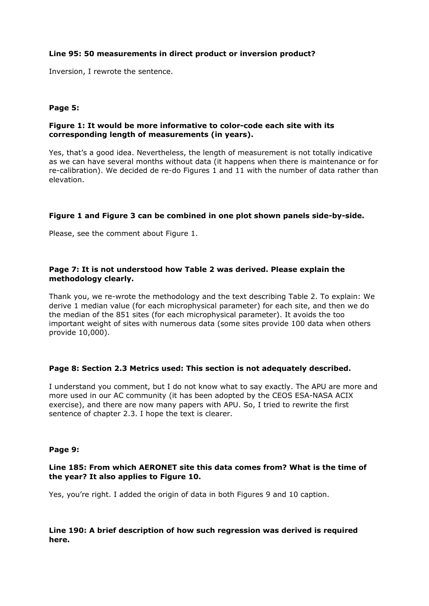## **Line 95: 50 measurements in direct product or inversion product?**

Inversion, I rewrote the sentence.

## **Page 5:**

## **Figure 1: It would be more informative to color-code each site with its corresponding length of measurements (in years).**

Yes, that's a good idea. Nevertheless, the length of measurement is not totally indicative as we can have several months without data (it happens when there is maintenance or for re-calibration). We decided de re-do Figures 1 and 11 with the number of data rather than elevation.

## **Figure 1 and Figure 3 can be combined in one plot shown panels side-by-side.**

Please, see the comment about Figure 1.

## **Page 7: It is not understood how Table 2 was derived. Please explain the methodology clearly.**

Thank you, we re-wrote the methodology and the text describing Table 2. To explain: We derive 1 median value (for each microphysical parameter) for each site, and then we do the median of the 851 sites (for each microphysical parameter). It avoids the too important weight of sites with numerous data (some sites provide 100 data when others provide 10,000).

#### **Page 8: Section 2.3 Metrics used: This section is not adequately described.**

I understand you comment, but I do not know what to say exactly. The APU are more and more used in our AC community (it has been adopted by the CEOS ESA-NASA ACIX exercise), and there are now many papers with APU. So, I tried to rewrite the first sentence of chapter 2.3. I hope the text is clearer.

#### **Page 9:**

## **Line 185: From which AERONET site this data comes from? What is the time of the year? It also applies to Figure 10.**

Yes, you're right. I added the origin of data in both Figures 9 and 10 caption.

## **Line 190: A brief description of how such regression was derived is required here.**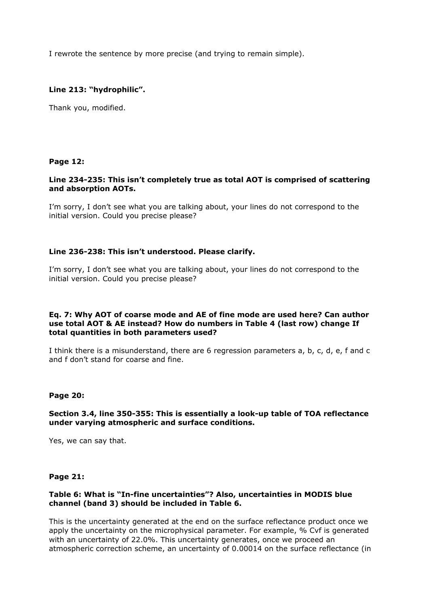I rewrote the sentence by more precise (and trying to remain simple).

## **Line 213: "hydrophilic".**

Thank you, modified.

#### **Page 12:**

#### **Line 234-235: This isn't completely true as total AOT is comprised of scattering and absorption AOTs.**

I'm sorry, I don't see what you are talking about, your lines do not correspond to the initial version. Could you precise please?

#### **Line 236-238: This isn't understood. Please clarify.**

I'm sorry, I don't see what you are talking about, your lines do not correspond to the initial version. Could you precise please?

#### **Eq. 7: Why AOT of coarse mode and AE of fine mode are used here? Can author use total AOT & AE instead? How do numbers in Table 4 (last row) change If total quantities in both parameters used?**

I think there is a misunderstand, there are 6 regression parameters a, b, c, d, e, f and c and f don't stand for coarse and fine.

#### **Page 20:**

## **Section 3.4, line 350-355: This is essentially a look-up table of TOA reflectance under varying atmospheric and surface conditions.**

Yes, we can say that.

#### **Page 21:**

## **Table 6: What is "In-fine uncertainties"? Also, uncertainties in MODIS blue channel (band 3) should be included in Table 6.**

This is the uncertainty generated at the end on the surface reflectance product once we apply the uncertainty on the microphysical parameter. For example, % Cvf is generated with an uncertainty of 22.0%. This uncertainty generates, once we proceed an atmospheric correction scheme, an uncertainty of 0.00014 on the surface reflectance (in